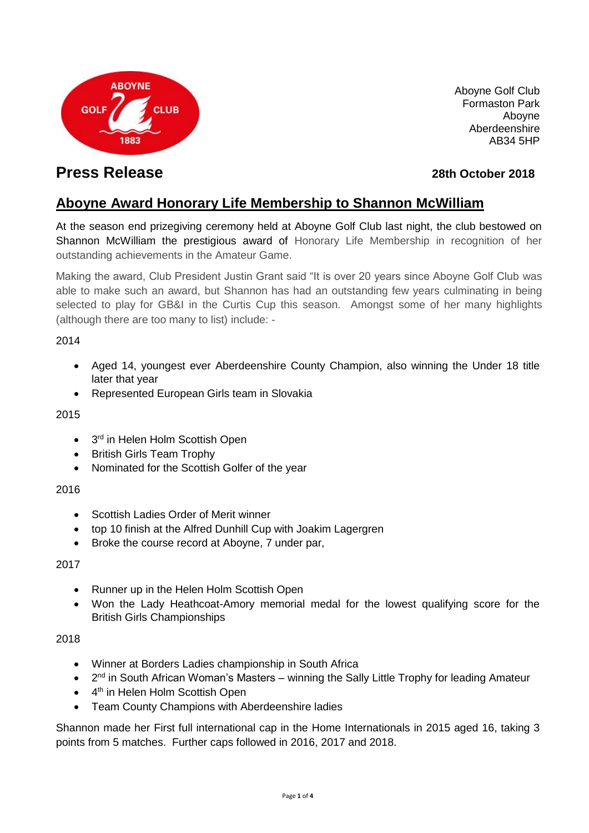

Aboyne Golf Club Formaston Park Aboyne Aberdeenshire AB34 5HP

# **Press Release 28th October 2018**

## **Aboyne Award Honorary Life Membership to Shannon McWilliam**

At the season end prizegiving ceremony held at Aboyne Golf Club last night, the club bestowed on Shannon McWilliam the prestigious award of Honorary Life Membership in recognition of her outstanding achievements in the Amateur Game.

Making the award, Club President Justin Grant said "It is over 20 years since Aboyne Golf Club was able to make such an award, but Shannon has had an outstanding few years culminating in being selected to play for GB&I in the Curtis Cup this season. Amongst some of her many highlights (although there are too many to list) include: -

#### 2014

- Aged 14, youngest ever Aberdeenshire County Champion, also winning the Under 18 title later that year
- Represented European Girls team in Slovakia

#### 2015

- 3<sup>rd</sup> in Helen Holm Scottish Open
- British Girls Team Trophy
- Nominated for the Scottish Golfer of the year

#### 2016

- Scottish Ladies Order of Merit winner
- top 10 finish at the Alfred Dunhill Cup with Joakim Lagergren
- Broke the course record at Aboyne, 7 under par,

#### 2017

- Runner up in the Helen Holm Scottish Open
- Won the Lady Heathcoat-Amory memorial medal for the lowest qualifying score for the British Girls Championships

#### 2018

- Winner at Borders Ladies championship in South Africa
- 2<sup>nd</sup> in South African Woman's Masters winning the Sally Little Trophy for leading Amateur
- 4<sup>th</sup> in Helen Holm Scottish Open
- Team County Champions with Aberdeenshire ladies

Shannon made her First full international cap in the Home Internationals in 2015 aged 16, taking 3 points from 5 matches. Further caps followed in 2016, 2017 and 2018.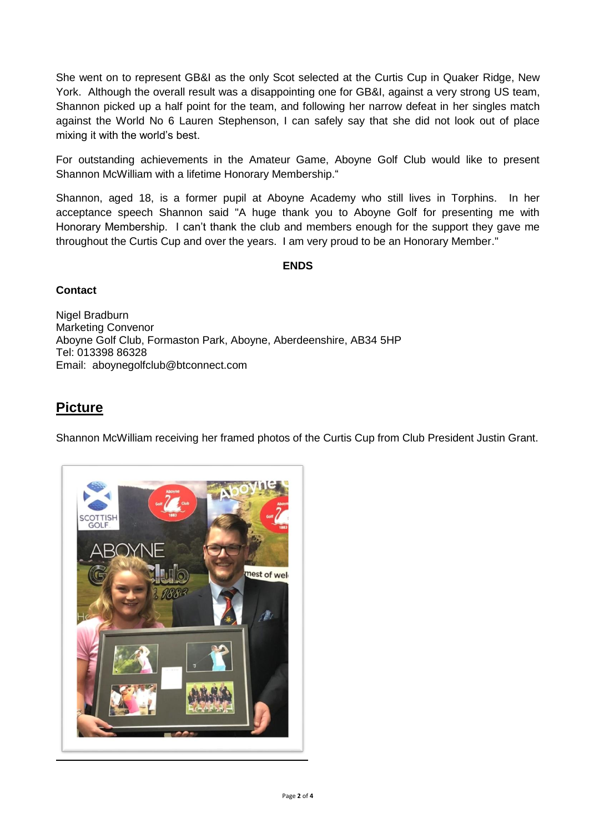She went on to represent GB&I as the only Scot selected at the Curtis Cup in Quaker Ridge, New York. Although the overall result was a disappointing one for GB&I, against a very strong US team, Shannon picked up a half point for the team, and following her narrow defeat in her singles match against the World No 6 Lauren Stephenson, I can safely say that she did not look out of place mixing it with the world's best.

For outstanding achievements in the Amateur Game, Aboyne Golf Club would like to present Shannon McWilliam with a lifetime Honorary Membership."

Shannon, aged 18, is a former pupil at Aboyne Academy who still lives in Torphins. In her acceptance speech Shannon said "A huge thank you to Aboyne Golf for presenting me with Honorary Membership. I can't thank the club and members enough for the support they gave me throughout the Curtis Cup and over the years. I am very proud to be an Honorary Member."

#### **ENDS**

#### **Contact**

Nigel Bradburn Marketing Convenor Aboyne Golf Club, Formaston Park, Aboyne, Aberdeenshire, AB34 5HP Tel: 013398 86328 Email: aboynegolfclub@btconnect.com

## **Picture**

Shannon McWilliam receiving her framed photos of the Curtis Cup from Club President Justin Grant.

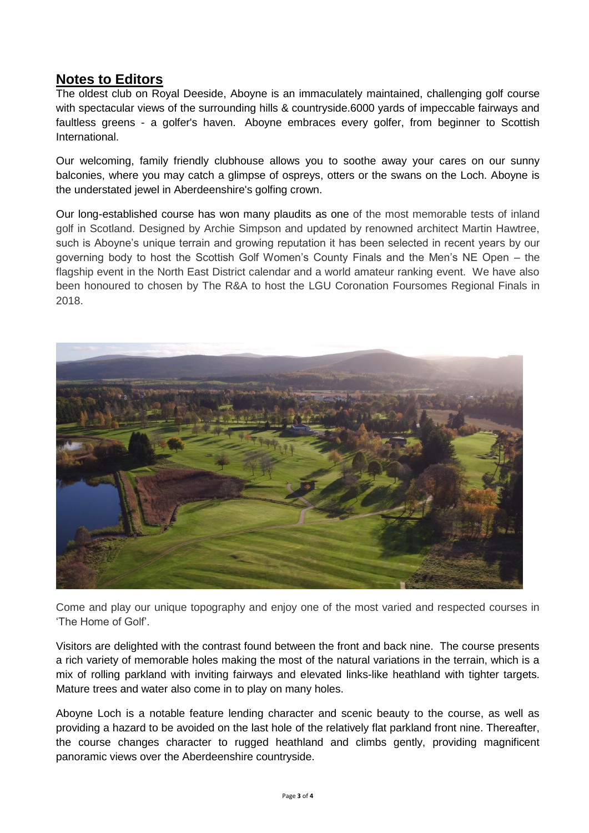## **Notes to Editors**

The oldest club on Royal Deeside, Aboyne is an immaculately maintained, challenging golf course with spectacular views of the surrounding hills & countryside.6000 yards of impeccable fairways and faultless greens - a golfer's haven. Aboyne embraces every golfer, from beginner to Scottish International.

Our welcoming, family friendly clubhouse allows you to soothe away your cares on our sunny balconies, where you may catch a glimpse of ospreys, otters or the swans on the Loch. Aboyne is the understated jewel in Aberdeenshire's golfing crown.

Our long-established course has won many plaudits as one of the most memorable tests of inland golf in Scotland. Designed by Archie Simpson and updated by renowned architect Martin Hawtree, such is Aboyne's unique terrain and growing reputation it has been selected in recent years by our governing body to host the Scottish Golf Women's County Finals and the Men's NE Open – the flagship event in the North East District calendar and a world amateur ranking event. We have also been honoured to chosen by The R&A to host the LGU Coronation Foursomes Regional Finals in 2018.



Come and play our unique topography and enjoy one of the most varied and respected courses in 'The Home of Golf'.

Visitors are delighted with the contrast found between the front and back nine. The course presents a rich variety of memorable holes making the most of the natural variations in the terrain, which is a mix of rolling parkland with inviting fairways and elevated links-like heathland with tighter targets. Mature trees and water also come in to play on many holes.

Aboyne Loch is a notable feature lending character and scenic beauty to the course, as well as providing a hazard to be avoided on the last hole of the relatively flat parkland front nine. Thereafter, the course changes character to rugged heathland and climbs gently, providing magnificent panoramic views over the Aberdeenshire countryside.